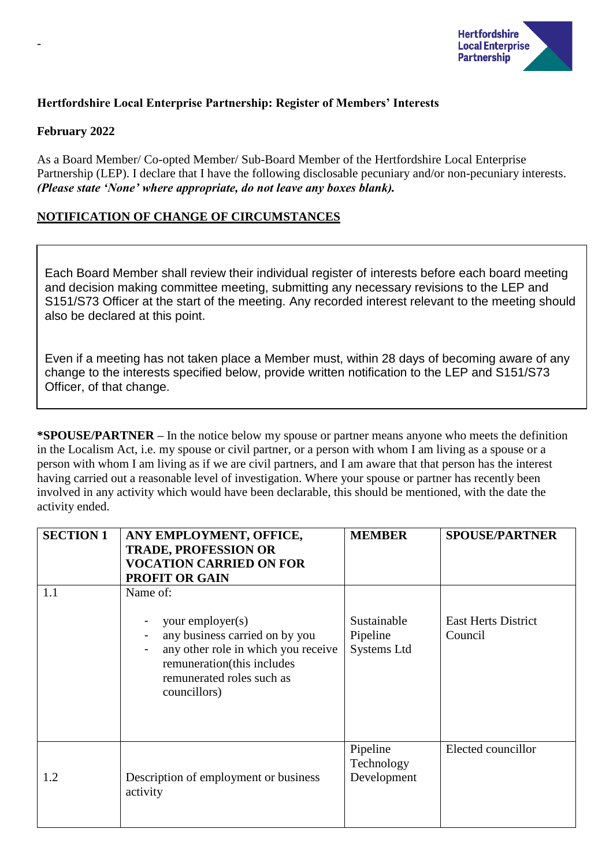

## **Hertfordshire Local Enterprise Partnership: Register of Members' Interests**

#### **February 2022**

-

As a Board Member/ Co-opted Member/ Sub-Board Member of the Hertfordshire Local Enterprise Partnership (LEP). I declare that I have the following disclosable pecuniary and/or non-pecuniary interests. *(Please state 'None' where appropriate, do not leave any boxes blank).*

## **NOTIFICATION OF CHANGE OF CIRCUMSTANCES**

Each Board Member shall review their individual register of interests before each board meeting and decision making committee meeting, submitting any necessary revisions to the LEP and S151/S73 Officer at the start of the meeting. Any recorded interest relevant to the meeting should also be declared at this point.

Even if a meeting has not taken place a Member must, within 28 days of becoming aware of any change to the interests specified below, provide written notification to the LEP and S151/S73 Officer, of that change.

**\*SPOUSE/PARTNER –** In the notice below my spouse or partner means anyone who meets the definition in the Localism Act, i.e. my spouse or civil partner, or a person with whom I am living as a spouse or a person with whom I am living as if we are civil partners, and I am aware that that person has the interest having carried out a reasonable level of investigation. Where your spouse or partner has recently been involved in any activity which would have been declarable, this should be mentioned, with the date the activity ended.

| <b>SECTION 1</b> | ANY EMPLOYMENT, OFFICE,<br><b>TRADE, PROFESSION OR</b><br><b>VOCATION CARRIED ON FOR</b><br><b>PROFIT OR GAIN</b>                                                                | <b>MEMBER</b>                          | <b>SPOUSE/PARTNER</b>                 |
|------------------|----------------------------------------------------------------------------------------------------------------------------------------------------------------------------------|----------------------------------------|---------------------------------------|
| 1.1              | Name of:<br>your employer(s)<br>any business carried on by you<br>any other role in which you receive<br>remuneration(this includes<br>remunerated roles such as<br>councillors) | Sustainable<br>Pipeline<br>Systems Ltd | <b>East Herts District</b><br>Council |
| 1.2              | Description of employment or business<br>activity                                                                                                                                | Pipeline<br>Technology<br>Development  | Elected councillor                    |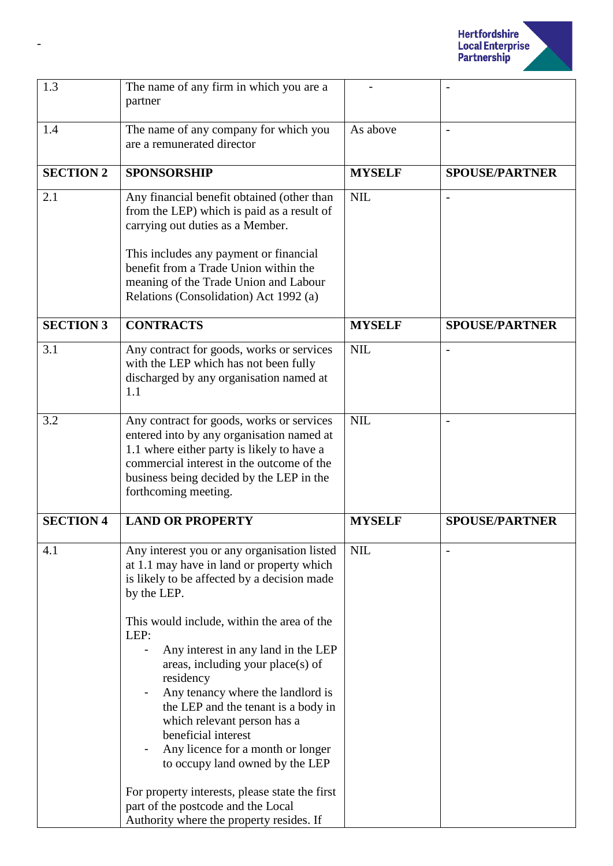

| 1.3              | The name of any firm in which you are a<br>partner                                                                                                                                                                                                                                                                                                                                                                                                                                                                                                                                                      |               |                          |
|------------------|---------------------------------------------------------------------------------------------------------------------------------------------------------------------------------------------------------------------------------------------------------------------------------------------------------------------------------------------------------------------------------------------------------------------------------------------------------------------------------------------------------------------------------------------------------------------------------------------------------|---------------|--------------------------|
| 1.4              | The name of any company for which you<br>are a remunerated director                                                                                                                                                                                                                                                                                                                                                                                                                                                                                                                                     | As above      | $\overline{\phantom{a}}$ |
| <b>SECTION 2</b> | <b>SPONSORSHIP</b>                                                                                                                                                                                                                                                                                                                                                                                                                                                                                                                                                                                      | <b>MYSELF</b> | <b>SPOUSE/PARTNER</b>    |
| 2.1              | Any financial benefit obtained (other than<br>from the LEP) which is paid as a result of<br>carrying out duties as a Member.<br>This includes any payment or financial<br>benefit from a Trade Union within the<br>meaning of the Trade Union and Labour<br>Relations (Consolidation) Act 1992 (a)                                                                                                                                                                                                                                                                                                      | <b>NIL</b>    |                          |
| <b>SECTION 3</b> | <b>CONTRACTS</b>                                                                                                                                                                                                                                                                                                                                                                                                                                                                                                                                                                                        | <b>MYSELF</b> | <b>SPOUSE/PARTNER</b>    |
| 3.1              | Any contract for goods, works or services<br>with the LEP which has not been fully<br>discharged by any organisation named at<br>1.1                                                                                                                                                                                                                                                                                                                                                                                                                                                                    | <b>NIL</b>    | $\overline{\phantom{a}}$ |
| 3.2              | Any contract for goods, works or services<br>entered into by any organisation named at<br>1.1 where either party is likely to have a<br>commercial interest in the outcome of the<br>business being decided by the LEP in the<br>forthcoming meeting.                                                                                                                                                                                                                                                                                                                                                   | <b>NIL</b>    |                          |
| <b>SECTION 4</b> | <b>LAND OR PROPERTY</b>                                                                                                                                                                                                                                                                                                                                                                                                                                                                                                                                                                                 | <b>MYSELF</b> | <b>SPOUSE/PARTNER</b>    |
| 4.1              | Any interest you or any organisation listed<br>at 1.1 may have in land or property which<br>is likely to be affected by a decision made<br>by the LEP.<br>This would include, within the area of the<br>LEP:<br>Any interest in any land in the LEP<br>areas, including your place(s) of<br>residency<br>Any tenancy where the landlord is<br>the LEP and the tenant is a body in<br>which relevant person has a<br>beneficial interest<br>Any licence for a month or longer<br>to occupy land owned by the LEP<br>For property interests, please state the first<br>part of the postcode and the Local | <b>NIL</b>    |                          |
|                  | Authority where the property resides. If                                                                                                                                                                                                                                                                                                                                                                                                                                                                                                                                                                |               |                          |

-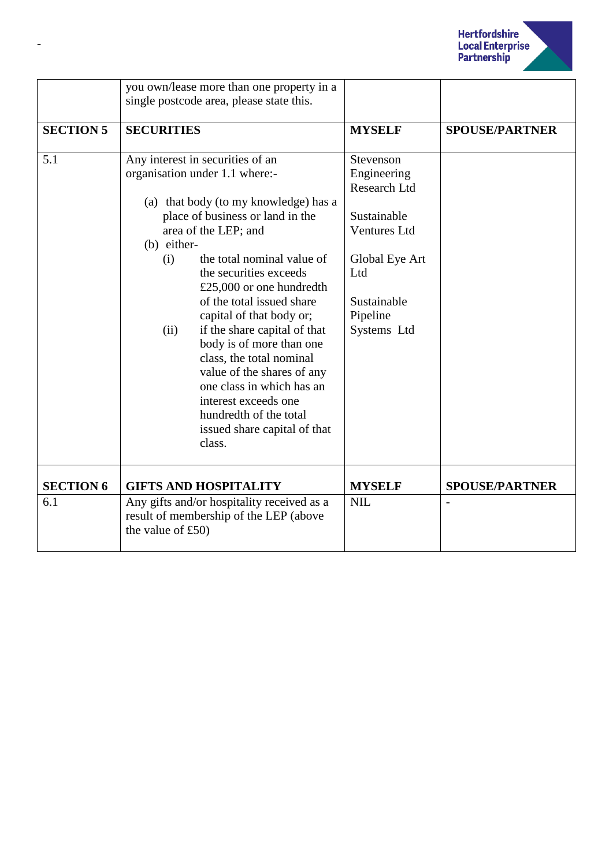

|                  | you own/lease more than one property in a<br>single postcode area, please state this.                                                                                                                                                                                                                                                                                                                                                                                                                                                                                                             |                                                                                                                                                   |                       |
|------------------|---------------------------------------------------------------------------------------------------------------------------------------------------------------------------------------------------------------------------------------------------------------------------------------------------------------------------------------------------------------------------------------------------------------------------------------------------------------------------------------------------------------------------------------------------------------------------------------------------|---------------------------------------------------------------------------------------------------------------------------------------------------|-----------------------|
| <b>SECTION 5</b> | <b>SECURITIES</b>                                                                                                                                                                                                                                                                                                                                                                                                                                                                                                                                                                                 | <b>MYSELF</b>                                                                                                                                     | <b>SPOUSE/PARTNER</b> |
| 5.1              | Any interest in securities of an<br>organisation under 1.1 where:-<br>(a) that body (to my knowledge) has a<br>place of business or land in the<br>area of the LEP; and<br>(b) either-<br>the total nominal value of<br>(i)<br>the securities exceeds<br>£25,000 or one hundredth<br>of the total issued share<br>capital of that body or;<br>if the share capital of that<br>(ii)<br>body is of more than one<br>class, the total nominal<br>value of the shares of any<br>one class in which has an<br>interest exceeds one<br>hundredth of the total<br>issued share capital of that<br>class. | Stevenson<br>Engineering<br>Research Ltd<br>Sustainable<br><b>Ventures Ltd</b><br>Global Eye Art<br>Ltd<br>Sustainable<br>Pipeline<br>Systems Ltd |                       |
| <b>SECTION 6</b> | <b>GIFTS AND HOSPITALITY</b>                                                                                                                                                                                                                                                                                                                                                                                                                                                                                                                                                                      | <b>MYSELF</b>                                                                                                                                     | <b>SPOUSE/PARTNER</b> |
| 6.1              | Any gifts and/or hospitality received as a<br>result of membership of the LEP (above<br>the value of $£50)$                                                                                                                                                                                                                                                                                                                                                                                                                                                                                       | <b>NIL</b>                                                                                                                                        |                       |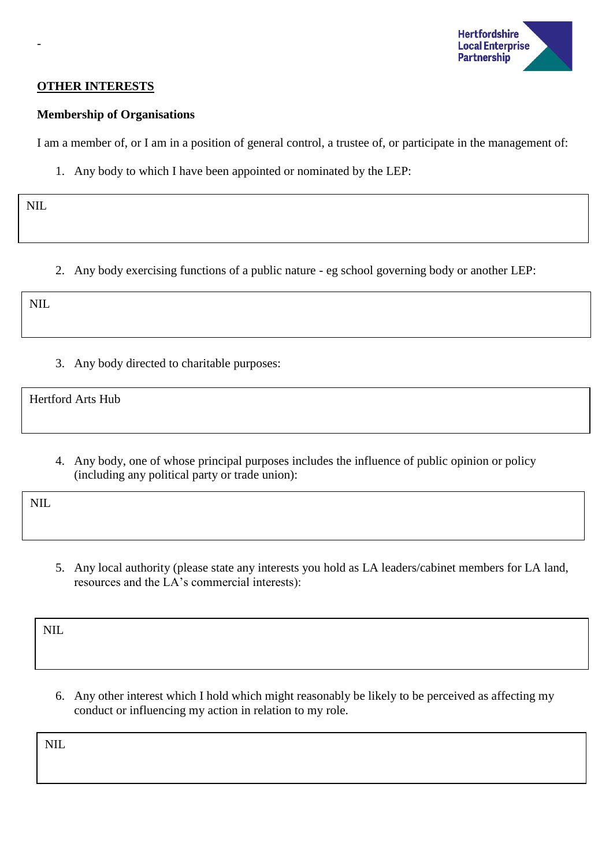

### **OTHER INTERESTS**

#### **Membership of Organisations**

I am a member of, or I am in a position of general control, a trustee of, or participate in the management of:

1. Any body to which I have been appointed or nominated by the LEP:

NIL

-

2. Any body exercising functions of a public nature - eg school governing body or another LEP:

| ↖.<br>ட<br>the contract of the contract of the |  |  |  |
|------------------------------------------------|--|--|--|
|                                                |  |  |  |

3. Any body directed to charitable purposes:

Hertford Arts Hub

4. Any body, one of whose principal purposes includes the influence of public opinion or policy (including any political party or trade union):

NIL.

5. Any local authority (please state any interests you hold as LA leaders/cabinet members for LA land, resources and the LA's commercial interests):

NIL

6. Any other interest which I hold which might reasonably be likely to be perceived as affecting my conduct or influencing my action in relation to my role.

NIL